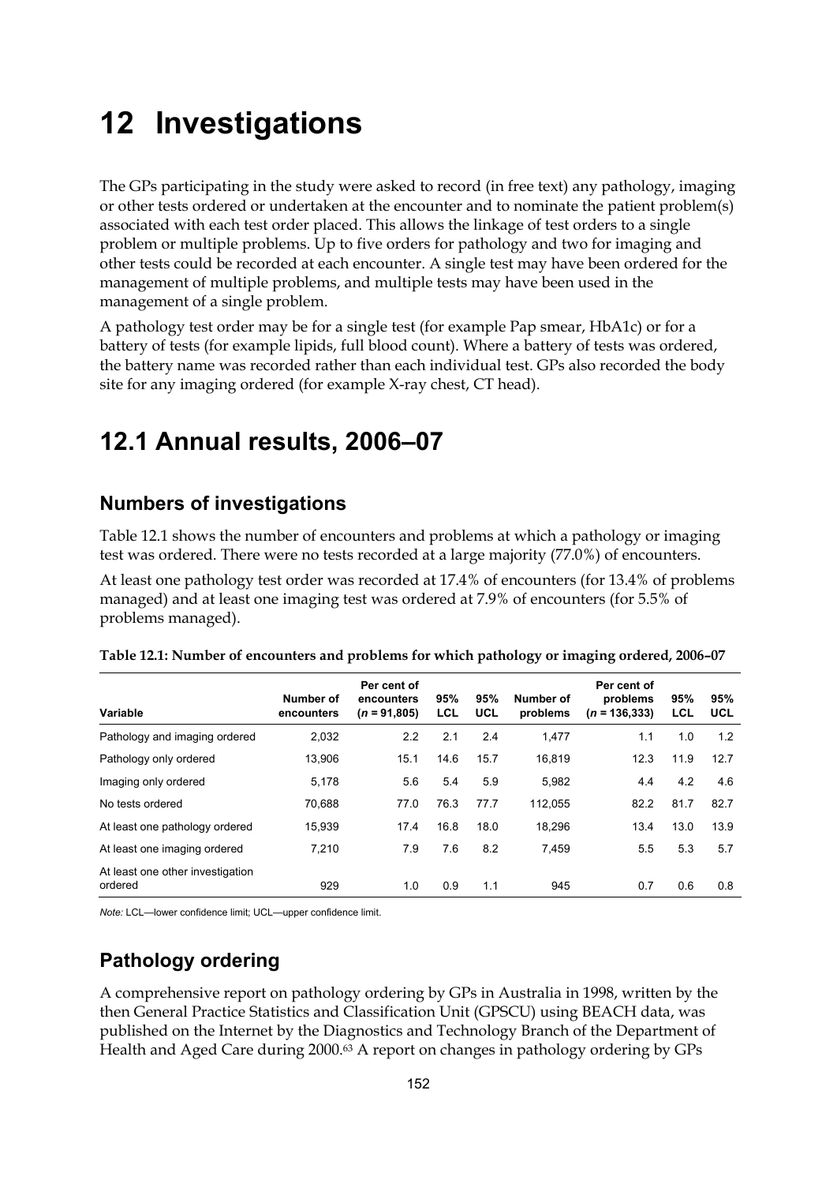# **12 Investigations**

The GPs participating in the study were asked to record (in free text) any pathology, imaging or other tests ordered or undertaken at the encounter and to nominate the patient problem(s) associated with each test order placed. This allows the linkage of test orders to a single problem or multiple problems. Up to five orders for pathology and two for imaging and other tests could be recorded at each encounter. A single test may have been ordered for the management of multiple problems, and multiple tests may have been used in the management of a single problem.

A pathology test order may be for a single test (for example Pap smear, HbA1c) or for a battery of tests (for example lipids, full blood count). Where a battery of tests was ordered, the battery name was recorded rather than each individual test. GPs also recorded the body site for any imaging ordered (for example X-ray chest, CT head).

# **12.1 Annual results, 2006–07**

## **Numbers of investigations**

Table 12.1 shows the number of encounters and problems at which a pathology or imaging test was ordered. There were no tests recorded at a large majority (77.0%) of encounters.

At least one pathology test order was recorded at 17.4% of encounters (for 13.4% of problems managed) and at least one imaging test was ordered at 7.9% of encounters (for 5.5% of problems managed).

| Variable                                    | Number of<br>encounters | Per cent of<br>encounters<br>$(n = 91,805)$ | 95%<br>LCL | 95%<br><b>UCL</b> | Number of<br>problems | Per cent of<br>problems<br>$(n = 136.333)$ | 95%<br>LCL | 95%<br><b>UCL</b> |
|---------------------------------------------|-------------------------|---------------------------------------------|------------|-------------------|-----------------------|--------------------------------------------|------------|-------------------|
| Pathology and imaging ordered               | 2,032                   | 2.2                                         | 2.1        | 2.4               | 1,477                 | 1.1                                        | 1.0        | 1.2               |
| Pathology only ordered                      | 13,906                  | 15.1                                        | 14.6       | 15.7              | 16,819                | 12.3                                       | 11.9       | 12.7              |
| Imaging only ordered                        | 5,178                   | 5.6                                         | 5.4        | 5.9               | 5,982                 | 4.4                                        | 4.2        | 4.6               |
| No tests ordered                            | 70,688                  | 77.0                                        | 76.3       | 77.7              | 112.055               | 82.2                                       | 81.7       | 82.7              |
| At least one pathology ordered              | 15,939                  | 17.4                                        | 16.8       | 18.0              | 18,296                | 13.4                                       | 13.0       | 13.9              |
| At least one imaging ordered                | 7.210                   | 7.9                                         | 7.6        | 8.2               | 7.459                 | 5.5                                        | 5.3        | 5.7               |
| At least one other investigation<br>ordered | 929                     | 1.0                                         | 0.9        | 1.1               | 945                   | 0.7                                        | 0.6        | 0.8               |

| Table 12.1: Number of encounters and problems for which pathology or imaging ordered, 2006–07 |  |  |  |
|-----------------------------------------------------------------------------------------------|--|--|--|
|-----------------------------------------------------------------------------------------------|--|--|--|

*Note:* LCL—lower confidence limit; UCL—upper confidence limit.

# **Pathology ordering**

A comprehensive report on pathology ordering by GPs in Australia in 1998, written by the then General Practice Statistics and Classification Unit (GPSCU) using BEACH data, was published on the Internet by the Diagnostics and Technology Branch of the Department of Health and Aged Care during 2000.63 A report on changes in pathology ordering by GPs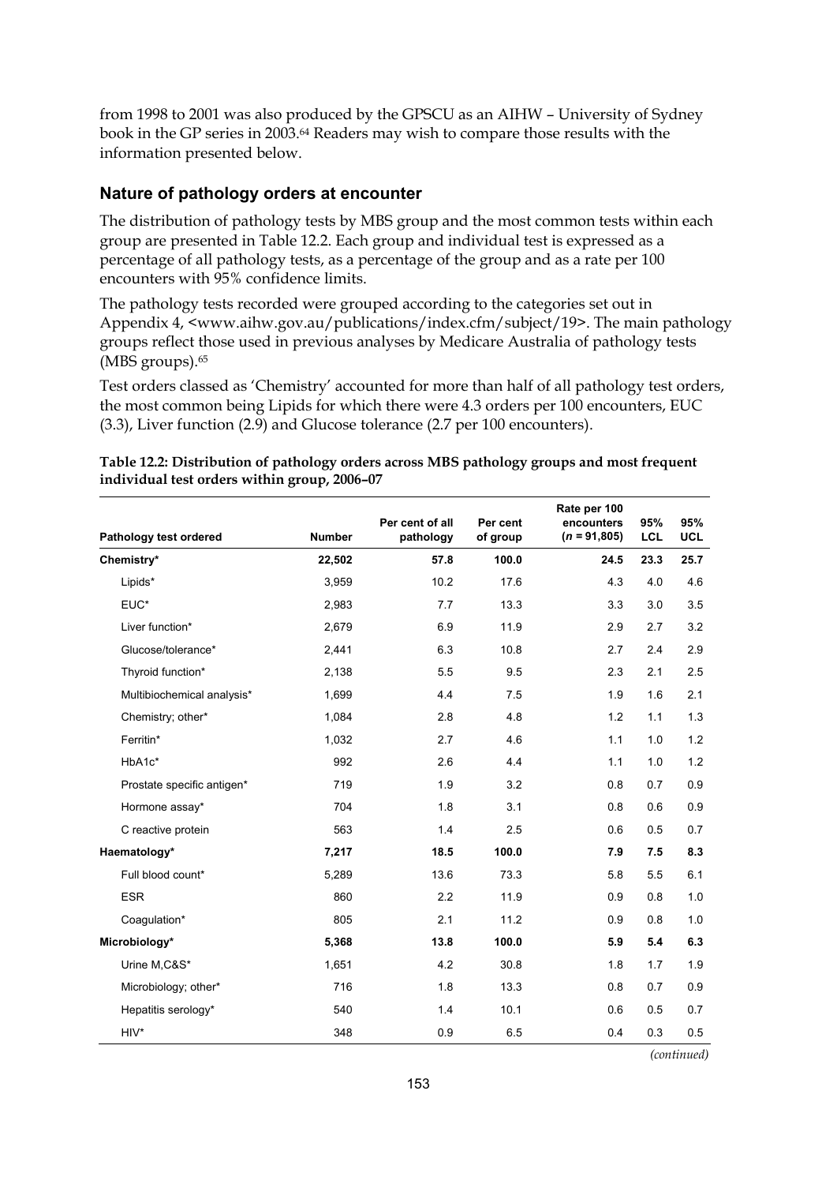from 1998 to 2001 was also produced by the GPSCU as an AIHW – University of Sydney book in the GP series in 2003.64 Readers may wish to compare those results with the information presented below.

## **Nature of pathology orders at encounter**

The distribution of pathology tests by MBS group and the most common tests within each group are presented in Table 12.2. Each group and individual test is expressed as a percentage of all pathology tests, as a percentage of the group and as a rate per 100 encounters with 95% confidence limits.

The pathology tests recorded were grouped according to the categories set out in Appendix 4, <www.aihw.gov.au/publications/index.cfm/subject/19>. The main pathology groups reflect those used in previous analyses by Medicare Australia of pathology tests (MBS groups).<sup>65</sup>

Test orders classed as 'Chemistry' accounted for more than half of all pathology test orders, the most common being Lipids for which there were 4.3 orders per 100 encounters, EUC (3.3), Liver function (2.9) and Glucose tolerance (2.7 per 100 encounters).

|                            |               |                              |                      | Rate per 100                 |                   |                   |
|----------------------------|---------------|------------------------------|----------------------|------------------------------|-------------------|-------------------|
| Pathology test ordered     | <b>Number</b> | Per cent of all<br>pathology | Per cent<br>of group | encounters<br>$(n = 91,805)$ | 95%<br><b>LCL</b> | 95%<br><b>UCL</b> |
| Chemistry*                 | 22,502        | 57.8                         | 100.0                | 24.5                         | 23.3              | 25.7              |
| Lipids*                    | 3,959         | 10.2                         | 17.6                 | 4.3                          | 4.0               | 4.6               |
| EUC*                       | 2,983         | 7.7                          | 13.3                 | 3.3                          | 3.0               | 3.5               |
| Liver function*            | 2,679         | 6.9                          | 11.9                 | 2.9                          | 2.7               | 3.2               |
| Glucose/tolerance*         | 2,441         | 6.3                          | 10.8                 | 2.7                          | 2.4               | 2.9               |
| Thyroid function*          | 2,138         | 5.5                          | 9.5                  | 2.3                          | 2.1               | 2.5               |
| Multibiochemical analysis* | 1,699         | 4.4                          | 7.5                  | 1.9                          | 1.6               | 2.1               |
| Chemistry; other*          | 1,084         | 2.8                          | 4.8                  | 1.2                          | 1.1               | 1.3               |
| Ferritin*                  | 1,032         | 2.7                          | 4.6                  | 1.1                          | 1.0               | 1.2               |
| HbA1c*                     | 992           | 2.6                          | 4.4                  | 1.1                          | 1.0               | 1.2               |
| Prostate specific antigen* | 719           | 1.9                          | 3.2                  | 0.8                          | 0.7               | 0.9               |
| Hormone assay*             | 704           | 1.8                          | 3.1                  | 0.8                          | 0.6               | 0.9               |
| C reactive protein         | 563           | 1.4                          | 2.5                  | 0.6                          | 0.5               | 0.7               |
| Haematology*               | 7,217         | 18.5                         | 100.0                | 7.9                          | 7.5               | 8.3               |
| Full blood count*          | 5,289         | 13.6                         | 73.3                 | 5.8                          | 5.5               | 6.1               |
| <b>ESR</b>                 | 860           | 2.2                          | 11.9                 | 0.9                          | 0.8               | 1.0               |
| Coagulation*               | 805           | 2.1                          | 11.2                 | 0.9                          | 0.8               | 1.0               |
| Microbiology*              | 5,368         | 13.8                         | 100.0                | 5.9                          | 5.4               | 6.3               |
| Urine M.C&S*               | 1,651         | 4.2                          | 30.8                 | 1.8                          | 1.7               | 1.9               |
| Microbiology; other*       | 716           | 1.8                          | 13.3                 | 0.8                          | 0.7               | 0.9               |
| Hepatitis serology*        | 540           | 1.4                          | 10.1                 | 0.6                          | 0.5               | 0.7               |
| $HIV^*$                    | 348           | 0.9                          | 6.5                  | 0.4                          | 0.3               | 0.5               |

| Table 12.2: Distribution of pathology orders across MBS pathology groups and most frequent |  |
|--------------------------------------------------------------------------------------------|--|
| individual test orders within group, 2006-07                                               |  |

*(continued)*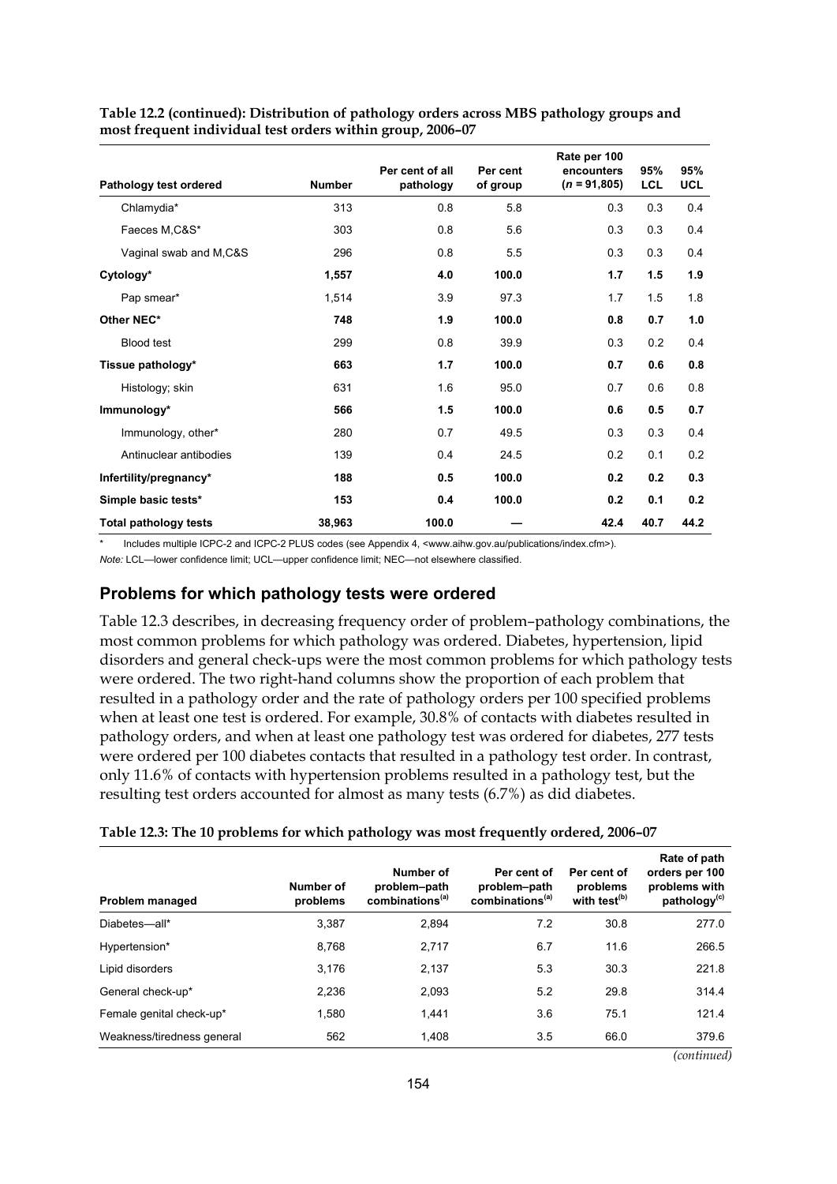| Pathology test ordered       | <b>Number</b> | Per cent of all<br>pathology | Per cent<br>of group | Rate per 100<br>encounters<br>$(n = 91,805)$ | 95%<br><b>LCL</b> | 95%<br><b>UCL</b> |
|------------------------------|---------------|------------------------------|----------------------|----------------------------------------------|-------------------|-------------------|
| Chlamydia*                   | 313           | 0.8                          | 5.8                  | 0.3                                          | 0.3               | 0.4               |
| Faeces M,C&S*                | 303           | 0.8                          | 5.6                  | 0.3                                          | 0.3               | 0.4               |
| Vaginal swab and M,C&S       | 296           | 0.8                          | 5.5                  | 0.3                                          | 0.3               | 0.4               |
| Cytology*                    | 1,557         | 4.0                          | 100.0                | 1.7                                          | 1.5               | 1.9               |
| Pap smear*                   | 1,514         | 3.9                          | 97.3                 | 1.7                                          | 1.5               | 1.8               |
| Other NEC*                   | 748           | 1.9                          | 100.0                | 0.8                                          | 0.7               | 1.0               |
| <b>Blood test</b>            | 299           | 0.8                          | 39.9                 | 0.3                                          | 0.2               | 0.4               |
| Tissue pathology*            | 663           | 1.7                          | 100.0                | 0.7                                          | 0.6               | 0.8               |
| Histology; skin              | 631           | 1.6                          | 95.0                 | 0.7                                          | 0.6               | 0.8               |
| Immunology*                  | 566           | 1.5                          | 100.0                | 0.6                                          | 0.5               | 0.7               |
| Immunology, other*           | 280           | 0.7                          | 49.5                 | 0.3                                          | 0.3               | 0.4               |
| Antinuclear antibodies       | 139           | 0.4                          | 24.5                 | 0.2                                          | 0.1               | 0.2               |
| Infertility/pregnancy*       | 188           | 0.5                          | 100.0                | 0.2                                          | 0.2               | 0.3               |
| Simple basic tests*          | 153           | 0.4                          | 100.0                | 0.2                                          | 0.1               | 0.2               |
| <b>Total pathology tests</b> | 38,963        | 100.0                        |                      | 42.4                                         | 40.7              | 44.2              |

**Table 12.2 (continued): Distribution of pathology orders across MBS pathology groups and most frequent individual test orders within group, 2006–07** 

Includes multiple ICPC-2 and ICPC-2 PLUS codes (see Appendix 4, <www.aihw.gov.au/publications/index.cfm>).

*Note:* LCL—lower confidence limit; UCL—upper confidence limit; NEC—not elsewhere classified.

### **Problems for which pathology tests were ordered**

Table 12.3 describes, in decreasing frequency order of problem–pathology combinations, the most common problems for which pathology was ordered. Diabetes, hypertension, lipid disorders and general check-ups were the most common problems for which pathology tests were ordered. The two right-hand columns show the proportion of each problem that resulted in a pathology order and the rate of pathology orders per 100 specified problems when at least one test is ordered. For example, 30.8% of contacts with diabetes resulted in pathology orders, and when at least one pathology test was ordered for diabetes, 277 tests were ordered per 100 diabetes contacts that resulted in a pathology test order. In contrast, only 11.6% of contacts with hypertension problems resulted in a pathology test, but the resulting test orders accounted for almost as many tests (6.7%) as did diabetes.

| Problem managed            | Number of<br>problems | Number of<br>problem-path<br>combinations <sup>(a)</sup> | Per cent of<br>problem-path<br>combinations <sup>(a)</sup> | Per cent of<br>problems<br>with test <sup>(b)</sup> | Rate of path<br>orders per 100<br>problems with<br>pathology <sup>(c)</sup> |
|----------------------------|-----------------------|----------------------------------------------------------|------------------------------------------------------------|-----------------------------------------------------|-----------------------------------------------------------------------------|
| Diabetes-all*              | 3.387                 | 2.894                                                    | 7.2                                                        | 30.8                                                | 277.0                                                                       |
| Hypertension*              | 8,768                 | 2.717                                                    | 6.7                                                        | 11.6                                                | 266.5                                                                       |
| Lipid disorders            | 3,176                 | 2,137                                                    | 5.3                                                        | 30.3                                                | 221.8                                                                       |
| General check-up*          | 2.236                 | 2,093                                                    | 5.2                                                        | 29.8                                                | 314.4                                                                       |
| Female genital check-up*   | 1.580                 | 1,441                                                    | 3.6                                                        | 75.1                                                | 121.4                                                                       |
| Weakness/tiredness general | 562                   | 1.408                                                    | 3.5                                                        | 66.0                                                | 379.6                                                                       |

*(continued)*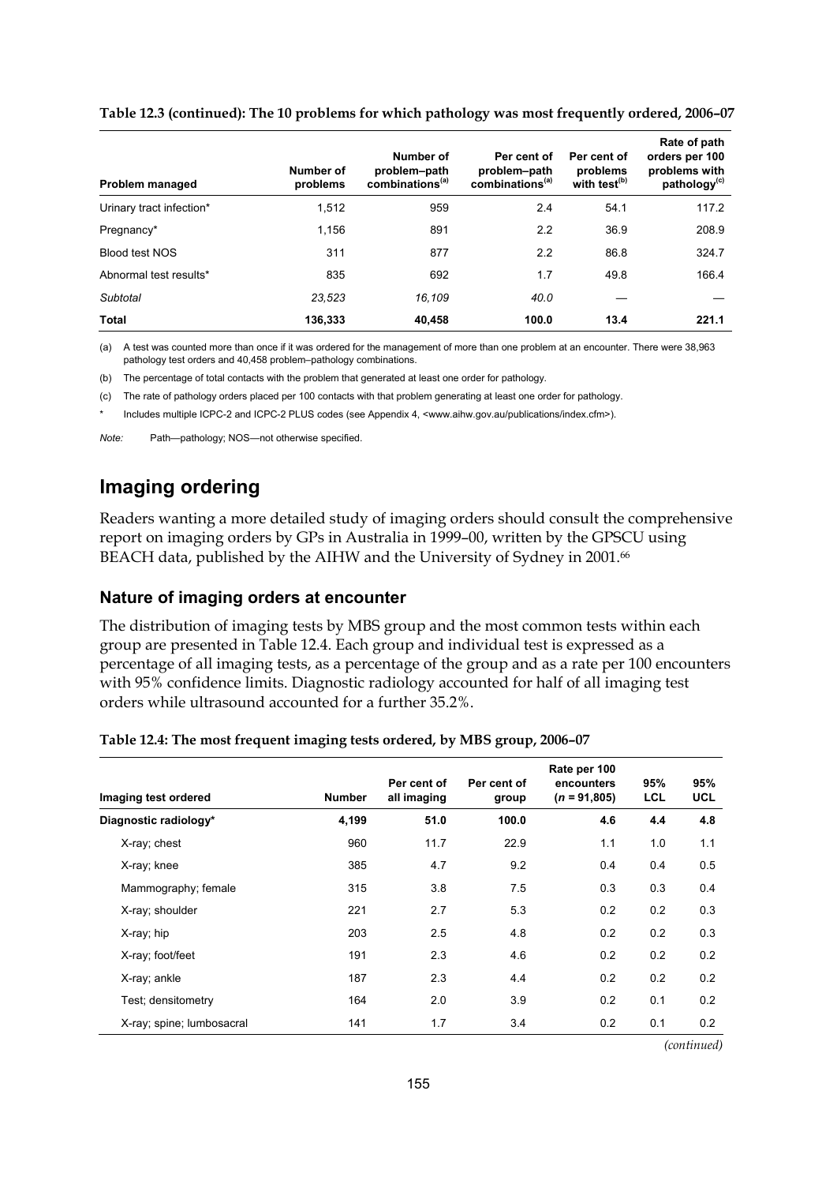| Problem managed          | Number of<br>problems | Number of<br>problem-path<br>combinations <sup>(a)</sup> | Per cent of<br>problem-path<br>combinations <sup>(a)</sup> | Per cent of<br>problems<br>with test <sup>(b)</sup> | Rate of path<br>orders per 100<br>problems with<br>pathology <sup>(c)</sup> |
|--------------------------|-----------------------|----------------------------------------------------------|------------------------------------------------------------|-----------------------------------------------------|-----------------------------------------------------------------------------|
| Urinary tract infection* | 1.512                 | 959                                                      | 2.4                                                        | 54.1                                                | 117.2                                                                       |
| Pregnancy*               | 1.156                 | 891                                                      | 2.2                                                        | 36.9                                                | 208.9                                                                       |
| Blood test NOS           | 311                   | 877                                                      | 2.2                                                        | 86.8                                                | 324.7                                                                       |
| Abnormal test results*   | 835                   | 692                                                      | 1.7                                                        | 49.8                                                | 166.4                                                                       |
| Subtotal                 | 23.523                | 16.109                                                   | 40.0                                                       |                                                     |                                                                             |
| <b>Total</b>             | 136,333               | 40,458                                                   | 100.0                                                      | 13.4                                                | 221.1                                                                       |

#### **Table 12.3 (continued): The 10 problems for which pathology was most frequently ordered, 2006–07**

(a) A test was counted more than once if it was ordered for the management of more than one problem at an encounter. There were 38,963 pathology test orders and 40,458 problem–pathology combinations.

(b) The percentage of total contacts with the problem that generated at least one order for pathology.

(c) The rate of pathology orders placed per 100 contacts with that problem generating at least one order for pathology.

Includes multiple ICPC-2 and ICPC-2 PLUS codes (see Appendix 4, <www.aihw.gov.au/publications/index.cfm>).

*Note:* Path—pathology; NOS—not otherwise specified.

## **Imaging ordering**

Readers wanting a more detailed study of imaging orders should consult the comprehensive report on imaging orders by GPs in Australia in 1999–00, written by the GPSCU using BEACH data, published by the AIHW and the University of Sydney in 2001.<sup>66</sup>

### **Nature of imaging orders at encounter**

The distribution of imaging tests by MBS group and the most common tests within each group are presented in Table 12.4. Each group and individual test is expressed as a percentage of all imaging tests, as a percentage of the group and as a rate per 100 encounters with 95% confidence limits. Diagnostic radiology accounted for half of all imaging test orders while ultrasound accounted for a further 35.2%.

|  | Table 12.4: The most frequent imaging tests ordered, by MBS group, 2006-07 |
|--|----------------------------------------------------------------------------|
|  |                                                                            |

| Imaging test ordered      | <b>Number</b> | Per cent of<br>all imaging | Per cent of<br>group | Rate per 100<br>encounters<br>$(n = 91,805)$ | 95%<br>LCL | 95%<br>UCL |
|---------------------------|---------------|----------------------------|----------------------|----------------------------------------------|------------|------------|
| Diagnostic radiology*     | 4,199         | 51.0                       | 100.0                | 4.6                                          | 4.4        | 4.8        |
| X-ray; chest              | 960           | 11.7                       | 22.9                 | 1.1                                          | 1.0        | 1.1        |
| X-ray; knee               | 385           | 4.7                        | 9.2                  | 0.4                                          | 0.4        | 0.5        |
| Mammography; female       | 315           | 3.8                        | 7.5                  | 0.3                                          | 0.3        | 0.4        |
| X-ray; shoulder           | 221           | 2.7                        | 5.3                  | 0.2                                          | 0.2        | 0.3        |
| X-ray; hip                | 203           | 2.5                        | 4.8                  | 0.2                                          | 0.2        | 0.3        |
| X-ray; foot/feet          | 191           | 2.3                        | 4.6                  | 0.2                                          | 0.2        | 0.2        |
| X-ray; ankle              | 187           | 2.3                        | 4.4                  | 0.2                                          | 0.2        | 0.2        |
| Test: densitometry        | 164           | 2.0                        | 3.9                  | 0.2                                          | 0.1        | 0.2        |
| X-ray; spine; lumbosacral | 141           | 1.7                        | 3.4                  | 0.2                                          | 0.1        | 0.2        |

*(continued)*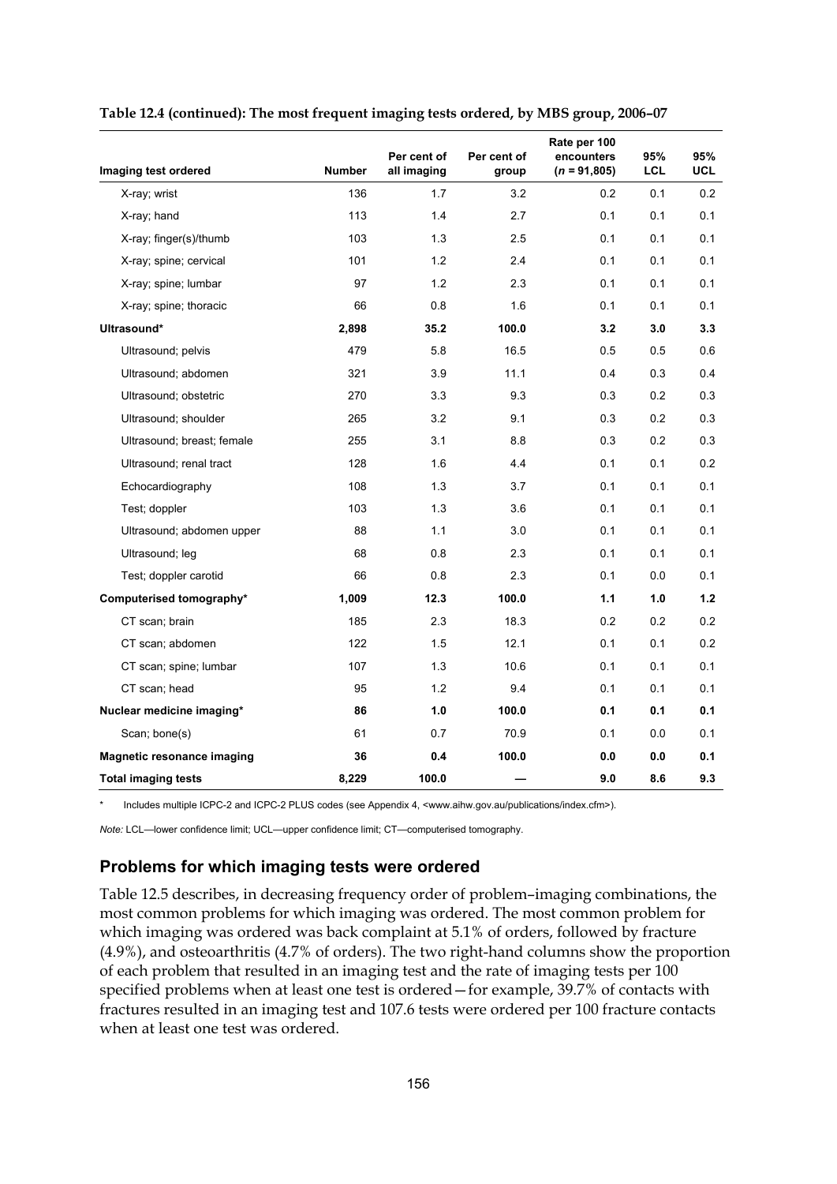|                                   |               | Per cent of | Per cent of | Rate per 100<br>encounters | 95% | 95%        |
|-----------------------------------|---------------|-------------|-------------|----------------------------|-----|------------|
| Imaging test ordered              | <b>Number</b> | all imaging | group       | $(n = 91,805)$             | LCL | <b>UCL</b> |
| X-ray; wrist                      | 136           | 1.7         | 3.2         | 0.2                        | 0.1 | 0.2        |
| X-ray; hand                       | 113           | 1.4         | 2.7         | 0.1                        | 0.1 | 0.1        |
| X-ray; finger(s)/thumb            | 103           | 1.3         | 2.5         | 0.1                        | 0.1 | 0.1        |
| X-ray; spine; cervical            | 101           | 1.2         | 2.4         | 0.1                        | 0.1 | 0.1        |
| X-ray; spine; lumbar              | 97            | 1.2         | 2.3         | 0.1                        | 0.1 | 0.1        |
| X-ray; spine; thoracic            | 66            | 0.8         | 1.6         | 0.1                        | 0.1 | 0.1        |
| Ultrasound*                       | 2,898         | 35.2        | 100.0       | 3.2                        | 3.0 | 3.3        |
| Ultrasound; pelvis                | 479           | 5.8         | 16.5        | 0.5                        | 0.5 | 0.6        |
| Ultrasound; abdomen               | 321           | 3.9         | 11.1        | 0.4                        | 0.3 | 0.4        |
| Ultrasound; obstetric             | 270           | 3.3         | 9.3         | 0.3                        | 0.2 | 0.3        |
| Ultrasound; shoulder              | 265           | 3.2         | 9.1         | 0.3                        | 0.2 | 0.3        |
| Ultrasound; breast; female        | 255           | 3.1         | 8.8         | 0.3                        | 0.2 | 0.3        |
| Ultrasound; renal tract           | 128           | 1.6         | 4.4         | 0.1                        | 0.1 | 0.2        |
| Echocardiography                  | 108           | 1.3         | 3.7         | 0.1                        | 0.1 | 0.1        |
| Test; doppler                     | 103           | 1.3         | 3.6         | 0.1                        | 0.1 | 0.1        |
| Ultrasound; abdomen upper         | 88            | 1.1         | 3.0         | 0.1                        | 0.1 | 0.1        |
| Ultrasound; leg                   | 68            | 0.8         | 2.3         | 0.1                        | 0.1 | 0.1        |
| Test; doppler carotid             | 66            | 0.8         | 2.3         | 0.1                        | 0.0 | 0.1        |
| Computerised tomography*          | 1,009         | 12.3        | 100.0       | 1.1                        | 1.0 | 1.2        |
| CT scan; brain                    | 185           | 2.3         | 18.3        | 0.2                        | 0.2 | 0.2        |
| CT scan; abdomen                  | 122           | 1.5         | 12.1        | 0.1                        | 0.1 | 0.2        |
| CT scan; spine; lumbar            | 107           | 1.3         | 10.6        | 0.1                        | 0.1 | 0.1        |
| CT scan; head                     | 95            | 1.2         | 9.4         | 0.1                        | 0.1 | 0.1        |
| Nuclear medicine imaging*         | 86            | 1.0         | 100.0       | 0.1                        | 0.1 | 0.1        |
| Scan; bone(s)                     | 61            | 0.7         | 70.9        | 0.1                        | 0.0 | 0.1        |
| <b>Magnetic resonance imaging</b> | 36            | 0.4         | 100.0       | 0.0                        | 0.0 | 0.1        |
| <b>Total imaging tests</b>        | 8,229         | 100.0       |             | 9.0                        | 8.6 | 9.3        |

#### **Table 12.4 (continued): The most frequent imaging tests ordered, by MBS group, 2006–07**

Includes multiple ICPC-2 and ICPC-2 PLUS codes (see Appendix 4, <www.aihw.gov.au/publications/index.cfm>).

*Note:* LCL—lower confidence limit; UCL—upper confidence limit; CT—computerised tomography.

### **Problems for which imaging tests were ordered**

Table 12.5 describes, in decreasing frequency order of problem–imaging combinations, the most common problems for which imaging was ordered. The most common problem for which imaging was ordered was back complaint at 5.1% of orders, followed by fracture (4.9%), and osteoarthritis (4.7% of orders). The two right-hand columns show the proportion of each problem that resulted in an imaging test and the rate of imaging tests per 100 specified problems when at least one test is ordered—for example, 39.7% of contacts with fractures resulted in an imaging test and 107.6 tests were ordered per 100 fracture contacts when at least one test was ordered.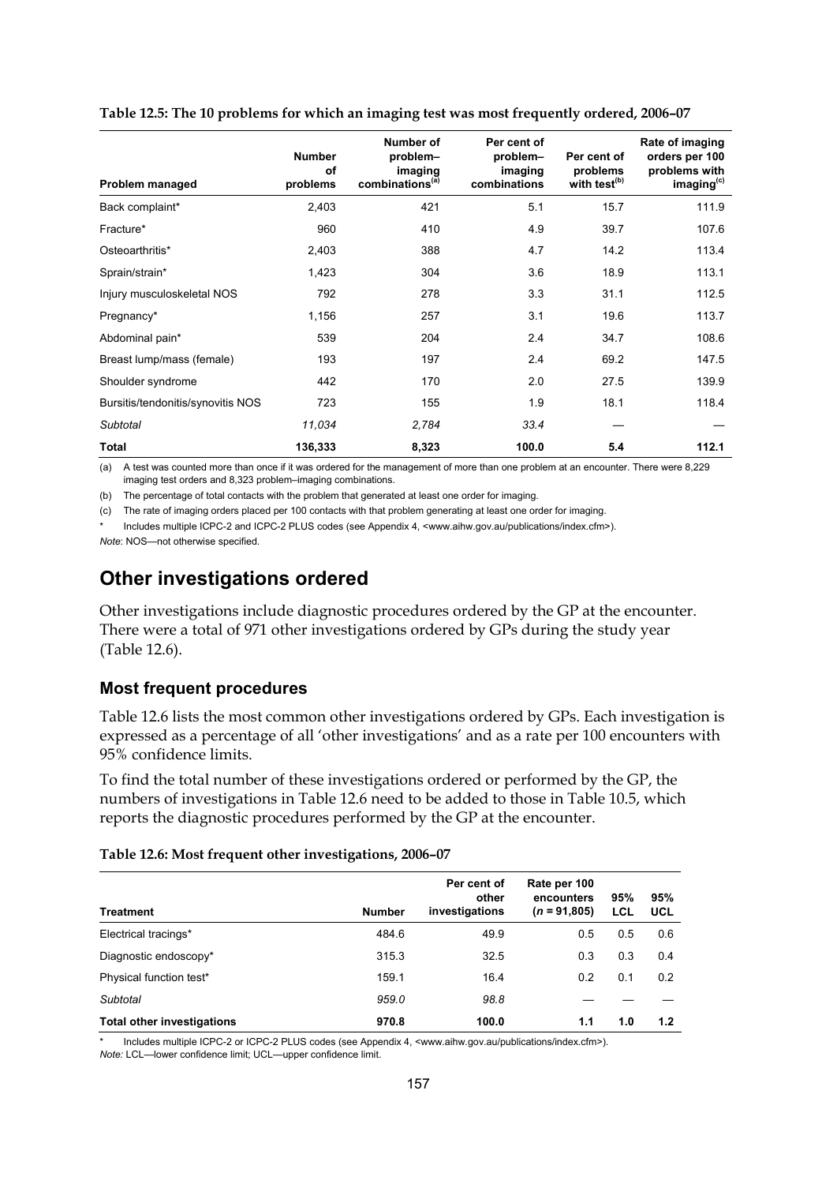| Problem managed                   | <b>Number</b><br>of<br>problems | Number of<br>problem-<br>imaging<br>combinations <sup>(a)</sup> | Per cent of<br>problem-<br>imaging<br>combinations | Per cent of<br>problems<br>with test <sup>(b)</sup> | Rate of imaging<br>orders per 100<br>problems with<br>imaging <sup>(c)</sup> |
|-----------------------------------|---------------------------------|-----------------------------------------------------------------|----------------------------------------------------|-----------------------------------------------------|------------------------------------------------------------------------------|
| Back complaint*                   | 2,403                           | 421                                                             | 5.1                                                | 15.7                                                | 111.9                                                                        |
| Fracture*                         | 960                             | 410                                                             | 4.9                                                | 39.7                                                | 107.6                                                                        |
| Osteoarthritis*                   | 2,403                           | 388                                                             | 4.7                                                | 14.2                                                | 113.4                                                                        |
| Sprain/strain*                    | 1,423                           | 304                                                             | 3.6                                                | 18.9                                                | 113.1                                                                        |
| Injury musculoskeletal NOS        | 792                             | 278                                                             | 3.3                                                | 31.1                                                | 112.5                                                                        |
| Pregnancy*                        | 1,156                           | 257                                                             | 3.1                                                | 19.6                                                | 113.7                                                                        |
| Abdominal pain*                   | 539                             | 204                                                             | 2.4                                                | 34.7                                                | 108.6                                                                        |
| Breast lump/mass (female)         | 193                             | 197                                                             | 2.4                                                | 69.2                                                | 147.5                                                                        |
| Shoulder syndrome                 | 442                             | 170                                                             | 2.0                                                | 27.5                                                | 139.9                                                                        |
| Bursitis/tendonitis/synovitis NOS | 723                             | 155                                                             | 1.9                                                | 18.1                                                | 118.4                                                                        |
| Subtotal                          | 11,034                          | 2,784                                                           | 33.4                                               |                                                     |                                                                              |
| Total                             | 136,333                         | 8,323                                                           | 100.0                                              | 5.4                                                 | 112.1                                                                        |

#### **Table 12.5: The 10 problems for which an imaging test was most frequently ordered, 2006–07**

(a) A test was counted more than once if it was ordered for the management of more than one problem at an encounter. There were 8,229 imaging test orders and 8,323 problem–imaging combinations.

(b) The percentage of total contacts with the problem that generated at least one order for imaging.

(c) The rate of imaging orders placed per 100 contacts with that problem generating at least one order for imaging.

Includes multiple ICPC-2 and ICPC-2 PLUS codes (see Appendix 4, <www.aihw.gov.au/publications/index.cfm>). *Note*: NOS—not otherwise specified.

## **Other investigations ordered**

Other investigations include diagnostic procedures ordered by the GP at the encounter. There were a total of 971 other investigations ordered by GPs during the study year (Table 12.6).

### **Most frequent procedures**

Table 12.6 lists the most common other investigations ordered by GPs. Each investigation is expressed as a percentage of all 'other investigations' and as a rate per 100 encounters with 95% confidence limits.

To find the total number of these investigations ordered or performed by the GP, the numbers of investigations in Table 12.6 need to be added to those in Table 10.5, which reports the diagnostic procedures performed by the GP at the encounter.

#### **Table 12.6: Most frequent other investigations, 2006–07**

| Treatment                         | <b>Number</b> | Per cent of<br>other<br>investigations | Rate per 100<br>encounters<br>$(n = 91,805)$ | 95%<br>LCL | 95%<br>UCL |
|-----------------------------------|---------------|----------------------------------------|----------------------------------------------|------------|------------|
| Electrical tracings*              | 484.6         | 49.9                                   | 0.5                                          | 0.5        | 0.6        |
| Diagnostic endoscopy*             | 315.3         | 32.5                                   | 0.3                                          | 0.3        | 0.4        |
| Physical function test*           | 159.1         | 16.4                                   | 0.2                                          | 0.1        | 0.2        |
| Subtotal                          | 959.0         | 98.8                                   |                                              |            |            |
| <b>Total other investigations</b> | 970.8         | 100.0                                  | 1.1                                          | 1.0        | 1.2        |

Includes multiple ICPC-2 or ICPC-2 PLUS codes (see Appendix 4, <www.aihw.gov.au/publications/index.cfm>).

*Note:* LCL—lower confidence limit; UCL—upper confidence limit.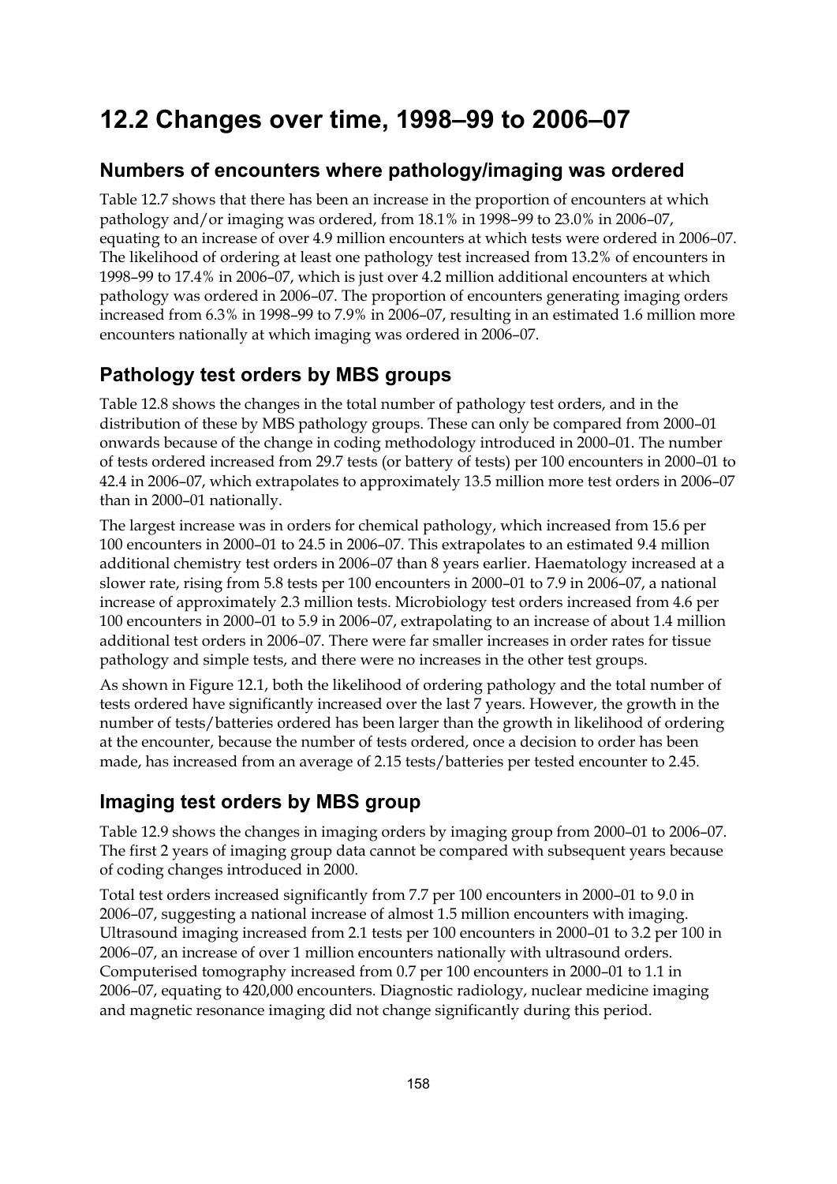# **12.2 Changes over time, 1998–99 to 2006–07**

## **Numbers of encounters where pathology/imaging was ordered**

Table 12.7 shows that there has been an increase in the proportion of encounters at which pathology and/or imaging was ordered, from 18.1% in 1998–99 to 23.0% in 2006–07, equating to an increase of over 4.9 million encounters at which tests were ordered in 2006–07. The likelihood of ordering at least one pathology test increased from 13.2% of encounters in 1998–99 to 17.4% in 2006–07, which is just over 4.2 million additional encounters at which pathology was ordered in 2006–07. The proportion of encounters generating imaging orders increased from 6.3% in 1998–99 to 7.9% in 2006–07, resulting in an estimated 1.6 million more encounters nationally at which imaging was ordered in 2006–07.

# **Pathology test orders by MBS groups**

Table 12.8 shows the changes in the total number of pathology test orders, and in the distribution of these by MBS pathology groups. These can only be compared from 2000–01 onwards because of the change in coding methodology introduced in 2000–01. The number of tests ordered increased from 29.7 tests (or battery of tests) per 100 encounters in 2000–01 to 42.4 in 2006–07, which extrapolates to approximately 13.5 million more test orders in 2006–07 than in 2000–01 nationally.

The largest increase was in orders for chemical pathology, which increased from 15.6 per 100 encounters in 2000–01 to 24.5 in 2006–07. This extrapolates to an estimated 9.4 million additional chemistry test orders in 2006–07 than 8 years earlier. Haematology increased at a slower rate, rising from 5.8 tests per 100 encounters in 2000–01 to 7.9 in 2006–07, a national increase of approximately 2.3 million tests. Microbiology test orders increased from 4.6 per 100 encounters in 2000–01 to 5.9 in 2006–07, extrapolating to an increase of about 1.4 million additional test orders in 2006–07. There were far smaller increases in order rates for tissue pathology and simple tests, and there were no increases in the other test groups.

As shown in Figure 12.1, both the likelihood of ordering pathology and the total number of tests ordered have significantly increased over the last 7 years. However, the growth in the number of tests/batteries ordered has been larger than the growth in likelihood of ordering at the encounter, because the number of tests ordered, once a decision to order has been made, has increased from an average of 2.15 tests/batteries per tested encounter to 2.45.

## **Imaging test orders by MBS group**

Table 12.9 shows the changes in imaging orders by imaging group from 2000–01 to 2006–07. The first 2 years of imaging group data cannot be compared with subsequent years because of coding changes introduced in 2000.

Total test orders increased significantly from 7.7 per 100 encounters in 2000–01 to 9.0 in 2006–07, suggesting a national increase of almost 1.5 million encounters with imaging. Ultrasound imaging increased from 2.1 tests per 100 encounters in 2000–01 to 3.2 per 100 in 2006–07, an increase of over 1 million encounters nationally with ultrasound orders. Computerised tomography increased from 0.7 per 100 encounters in 2000–01 to 1.1 in 2006–07, equating to 420,000 encounters. Diagnostic radiology, nuclear medicine imaging and magnetic resonance imaging did not change significantly during this period.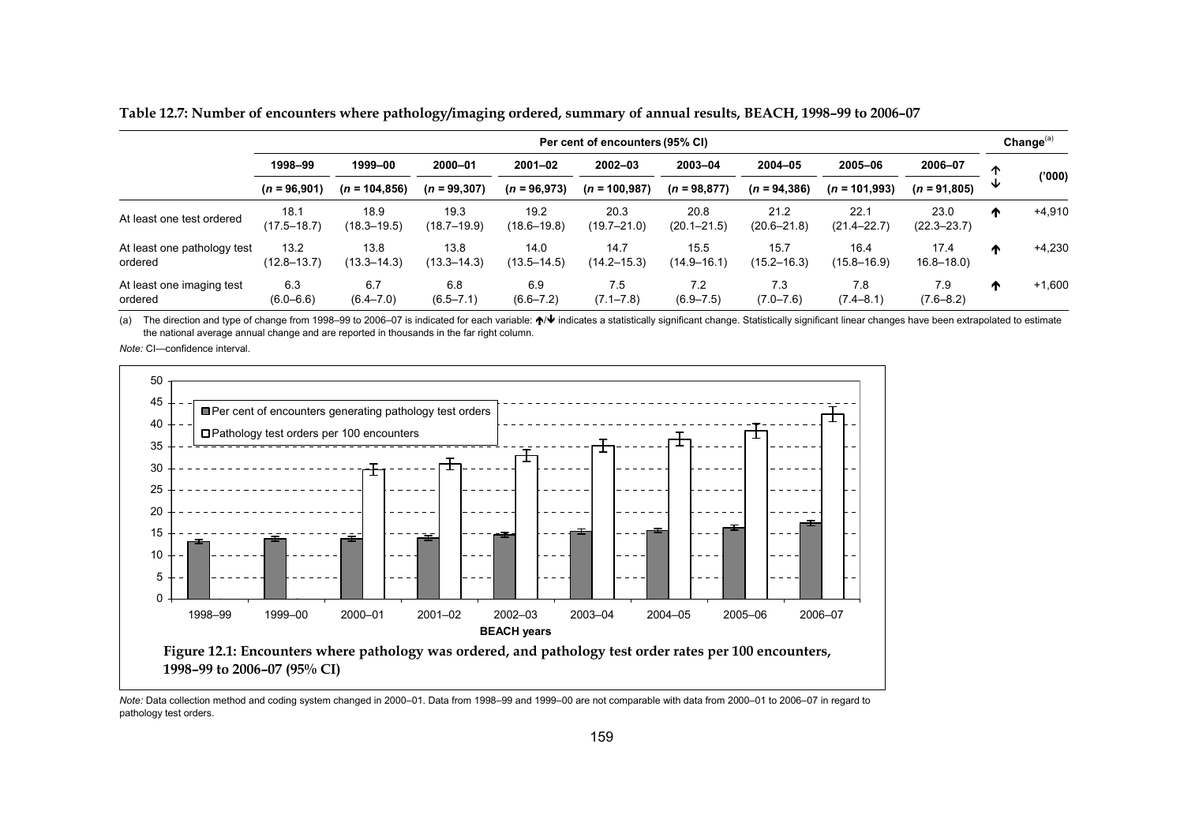|                                        | Per cent of encounters (95% CI) |                         |                         |                               |                                 |                            |                                |                            | Change $(a)$              |         |          |
|----------------------------------------|---------------------------------|-------------------------|-------------------------|-------------------------------|---------------------------------|----------------------------|--------------------------------|----------------------------|---------------------------|---------|----------|
|                                        | 1998-99<br>$(n = 96,901)$       | 1999-00                 | 2000-01                 | $2001 - 02$<br>$(n = 96,973)$ | $2002 - 03$<br>$(n = 100, 987)$ | 2003-04<br>$(n = 98, 877)$ | $2004 - 05$<br>$(n = 94, 386)$ | 2005-06<br>$(n = 101.993)$ | 2006-07<br>$(n = 91,805)$ | ́^<br>v | (000)    |
|                                        |                                 | $(n = 104, 856)$        | $(n = 99, 307)$         |                               |                                 |                            |                                |                            |                           |         |          |
| At least one test ordered              | 18.1<br>$(17.5 - 18.7)$         | 18.9<br>$(18.3 - 19.5)$ | 19.3<br>(18.7–19.9)     | 19.2<br>$(18.6 - 19.8)$       | 20.3<br>$(19.7 - 21.0)$         | 20.8<br>$(20.1 - 21.5)$    | 21.2<br>$(20.6 - 21.8)$        | 22.1<br>$(21.4 - 22.7)$    | 23.0<br>$(22.3 - 23.7)$   | ́Ѧ      | $+4,910$ |
| At least one pathology test<br>ordered | 13.2<br>$(12.8 - 13.7)$         | 13.8<br>$(13.3 - 14.3)$ | 13.8<br>$(13.3 - 14.3)$ | 14.0<br>$(13.5 - 14.5)$       | 14.7<br>$(14.2 - 15.3)$         | 15.5<br>$(14.9 - 16.1)$    | 15.7<br>$(15.2 - 16.3)$        | 16.4<br>$(15.8 - 16.9)$    | 17.4<br>$16.8 - 18.0$     | ́Ѧ      | $+4,230$ |
| At least one imaging test<br>ordered   | 6.3<br>$(6.0 - 6.6)$            | 6.7<br>$(6.4 - 7.0)$    | 6.8<br>$(6.5 - 7.1)$    | 6.9<br>$(6.6 - 7.2)$          | 7.5<br>$(7.1 - 7.8)$            | 7.2<br>$(6.9 - 7.5)$       | 7.3<br>$(7.0 - 7.6)$           | 7.8<br>$(7.4 - 8.1)$       | 7.9<br>$(7.6 - 8.2)$      | ^       | $+1,600$ |

**Table 12.7: Number of encounters where pathology/imaging ordered, summary of annual results, BEACH, 1998–99 to 2006–07** 

(a) The direction and type of change from 1998–99 to 2006–07 is indicated for each variable: ↑ indicates a statistically significant change. Statistically significant linear changes have been extrapolated to estimate the national average annual change and are reported in thousands in the far right column.

*Note:* CI—confidence interval.



*Note:* Data collection method and coding system changed in 2000–01. Data from 1998–99 and 1999–00 are not comparable with data from 2000–01 to 2006–07 in regard to pathology test orders.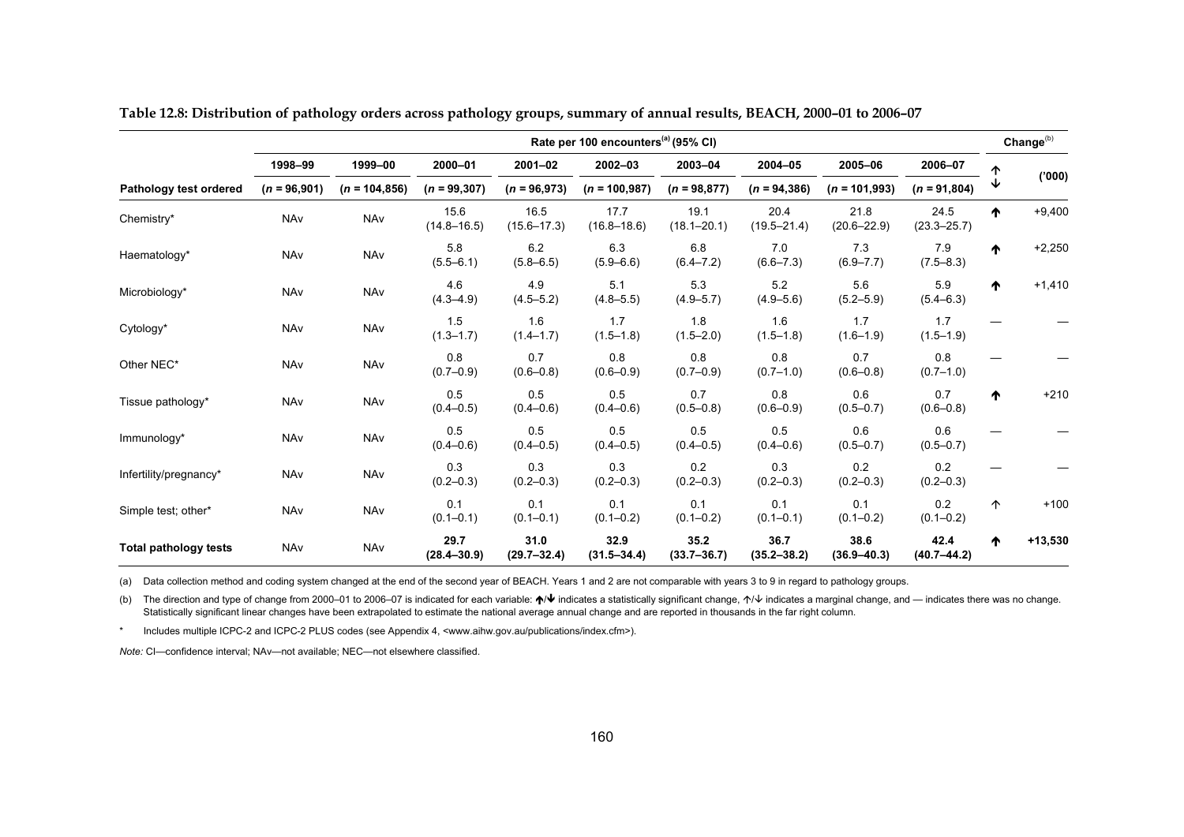|                              | Rate per 100 encounters <sup>(a)</sup> (95% CI) |                  |                         |                         |                         |                         |                         |                         | Change <sup>(b)</sup>   |   |           |
|------------------------------|-------------------------------------------------|------------------|-------------------------|-------------------------|-------------------------|-------------------------|-------------------------|-------------------------|-------------------------|---|-----------|
|                              | 1998-99                                         | 1999-00          | 2000-01                 | $2001 - 02$             | 2002-03                 | 2003-04                 | 2004-05                 | 2005-06                 | 2006-07                 | ↑ |           |
| Pathology test ordered       | $(n = 96,901)$                                  | $(n = 104, 856)$ | $(n = 99, 307)$         | $(n = 96,973)$          | $(n = 100, 987)$        | $(n = 98, 877)$         | $(n = 94, 386)$         | $(n = 101,993)$         | $(n = 91,804)$          | ↓ | (000)     |
| Chemistry*                   | NAv                                             | NAv              | 15.6<br>$(14.8 - 16.5)$ | 16.5<br>$(15.6 - 17.3)$ | 17.7<br>$(16.8 - 18.6)$ | 19.1<br>$(18.1 - 20.1)$ | 20.4<br>$(19.5 - 21.4)$ | 21.8<br>$(20.6 - 22.9)$ | 24.5<br>$(23.3 - 25.7)$ | ₼ | $+9,400$  |
| Haematology*                 | NAv                                             | NAv              | 5.8<br>$(5.5 - 6.1)$    | 6.2<br>$(5.8 - 6.5)$    | 6.3<br>$(5.9 - 6.6)$    | 6.8<br>$(6.4 - 7.2)$    | 7.0<br>$(6.6 - 7.3)$    | 7.3<br>$(6.9 - 7.7)$    | 7.9<br>$(7.5 - 8.3)$    | ^ | $+2,250$  |
| Microbiology*                | NAv                                             | NAv              | 4.6<br>$(4.3 - 4.9)$    | 4.9<br>$(4.5 - 5.2)$    | 5.1<br>$(4.8 - 5.5)$    | 5.3<br>$(4.9 - 5.7)$    | 5.2<br>$(4.9 - 5.6)$    | 5.6<br>$(5.2 - 5.9)$    | 5.9<br>$(5.4 - 6.3)$    | ↑ | $+1,410$  |
| Cytology*                    | NAv                                             | NAv              | 1.5<br>$(1.3 - 1.7)$    | 1.6<br>$(1.4 - 1.7)$    | 1.7<br>$(1.5 - 1.8)$    | 1.8<br>$(1.5 - 2.0)$    | 1.6<br>$(1.5 - 1.8)$    | 1.7<br>$(1.6 - 1.9)$    | 1.7<br>$(1.5 - 1.9)$    |   |           |
| Other NEC*                   | NAv                                             | NAv              | 0.8<br>$(0.7 - 0.9)$    | 0.7<br>$(0.6 - 0.8)$    | 0.8<br>$(0.6 - 0.9)$    | 0.8<br>$(0.7 - 0.9)$    | 0.8<br>$(0.7 - 1.0)$    | 0.7<br>$(0.6 - 0.8)$    | 0.8<br>$(0.7 - 1.0)$    |   |           |
| Tissue pathology*            | <b>NAv</b>                                      | NAv              | 0.5<br>$(0.4 - 0.5)$    | 0.5<br>$(0.4 - 0.6)$    | 0.5<br>$(0.4 - 0.6)$    | 0.7<br>$(0.5 - 0.8)$    | 0.8<br>$(0.6 - 0.9)$    | 0.6<br>$(0.5 - 0.7)$    | 0.7<br>$(0.6 - 0.8)$    | ↑ | $+210$    |
| Immunology*                  | NAv                                             | NAv              | 0.5<br>$(0.4 - 0.6)$    | 0.5<br>$(0.4 - 0.5)$    | 0.5<br>$(0.4 - 0.5)$    | 0.5<br>$(0.4 - 0.5)$    | 0.5<br>$(0.4 - 0.6)$    | 0.6<br>$(0.5 - 0.7)$    | 0.6<br>$(0.5 - 0.7)$    |   |           |
| Infertility/pregnancy*       | <b>NAv</b>                                      | NAv              | 0.3<br>$(0.2 - 0.3)$    | 0.3<br>$(0.2 - 0.3)$    | 0.3<br>$(0.2 - 0.3)$    | 0.2<br>$(0.2 - 0.3)$    | 0.3<br>$(0.2 - 0.3)$    | 0.2<br>$(0.2 - 0.3)$    | 0.2<br>$(0.2 - 0.3)$    |   |           |
| Simple test; other*          | <b>NAv</b>                                      | NAv              | 0.1<br>$(0.1 - 0.1)$    | 0.1<br>$(0.1 - 0.1)$    | 0.1<br>$(0.1 - 0.2)$    | 0.1<br>$(0.1 - 0.2)$    | 0.1<br>$(0.1 - 0.1)$    | 0.1<br>$(0.1 - 0.2)$    | 0.2<br>$(0.1 - 0.2)$    | 个 | $+100$    |
| <b>Total pathology tests</b> | NAv                                             | NAv              | 29.7<br>$(28.4 - 30.9)$ | 31.0<br>$(29.7 - 32.4)$ | 32.9<br>$(31.5 - 34.4)$ | 35.2<br>$(33.7 - 36.7)$ | 36.7<br>$(35.2 - 38.2)$ | 38.6<br>$(36.9 - 40.3)$ | 42.4<br>$(40.7 - 44.2)$ | ↑ | $+13,530$ |

**Table 12.8: Distribution of pathology orders across pathology groups, summary of annual results, BEACH, 2000–01 to 2006–07** 

(a) Data collection method and coding system changed at the end of the second year of BEACH. Years 1 and 2 are not comparable with years 3 to 9 in regard to pathology groups.

(b) The direction and type of change from 2000–01 to 2006–07 is indicated for each variable: ↑ V indicates a statistically significant change,  $\uparrow\downarrow$  indicates a marginal change, and — indicates there was no change. Statistically significant linear changes have been extrapolated to estimate the national average annual change and are reported in thousands in the far right column.

\* Includes multiple ICPC-2 and ICPC-2 PLUS codes (see Appendix 4, <www.aihw.gov.au/publications/index.cfm>).

*Note:* CI—confidence interval; NAv—not available; NEC—not elsewhere classified.